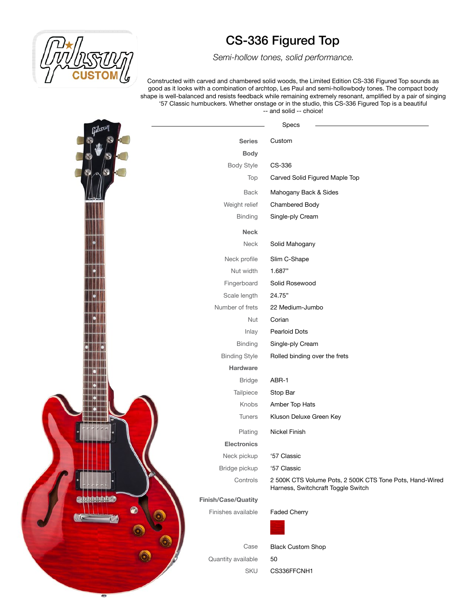

 *Semi-hollow tones, solid performance.*

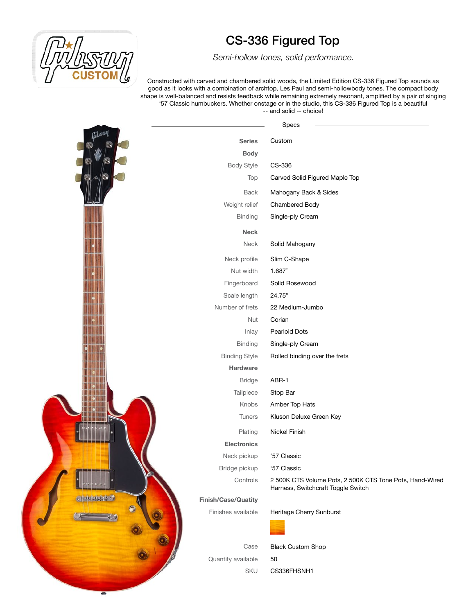

 *Semi-hollow tones, solid performance.*

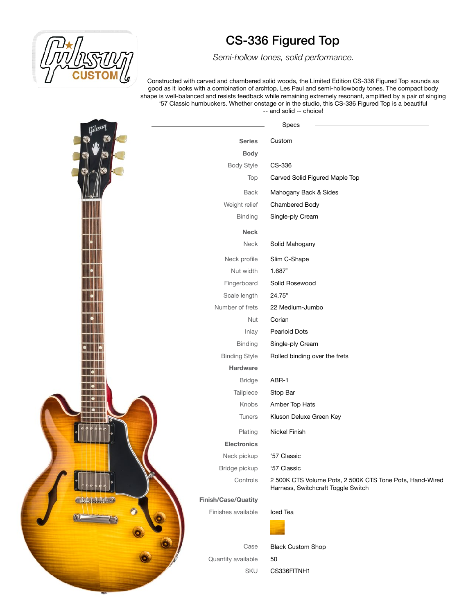

 *Semi-hollow tones, solid performance.*